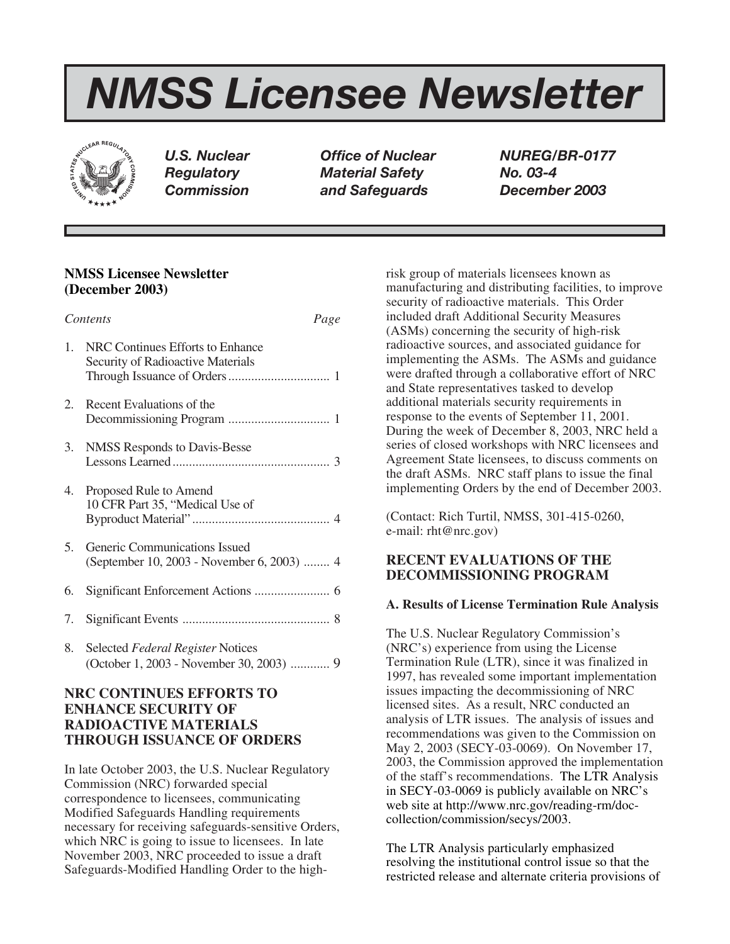# *NMSS Licensee Newsletter*



*U.S. Nuclear Office of Nuclear NUREG/BR-0177 Regulatory Material Safety No. 03-4 Commission and Safeguards December 2003*

# **NMSS Licensee Newsletter (December 2003)**

| Contents<br>Page |                                                                             |
|------------------|-----------------------------------------------------------------------------|
| 1.               | NRC Continues Efforts to Enhance<br>Security of Radioactive Materials       |
| 2.               | Recent Evaluations of the                                                   |
| 3.               | NMSS Responds to Davis-Besse                                                |
| 4.               | Proposed Rule to Amend<br>10 CFR Part 35, "Medical Use of                   |
| 5.               | Generic Communications Issued<br>(September 10, 2003 - November 6, 2003)  4 |
| 6.               |                                                                             |
| 7.               |                                                                             |
| 8.               | Selected Federal Register Notices                                           |

# **NRC CONTINUES EFFORTS TO ENHANCE SECURITY OF RADIOACTIVE MATERIALS THROUGH ISSUANCE OF ORDERS**

In late October 2003, the U.S. Nuclear Regulatory Commission (NRC) forwarded special correspondence to licensees, communicating Modified Safeguards Handling requirements necessary for receiving safeguards-sensitive Orders, which NRC is going to issue to licensees. In late November 2003, NRC proceeded to issue a draft Safeguards-Modified Handling Order to the highrisk group of materials licensees known as manufacturing and distributing facilities, to improve security of radioactive materials. This Order included draft Additional Security Measures (ASMs) concerning the security of high-risk radioactive sources, and associated guidance for implementing the ASMs. The ASMs and guidance were drafted through a collaborative effort of NRC and State representatives tasked to develop additional materials security requirements in response to the events of September 11, 2001. During the week of December 8, 2003, NRC held a series of closed workshops with NRC licensees and Agreement State licensees, to discuss comments on the draft ASMs. NRC staff plans to issue the final implementing Orders by the end of December 2003.

(Contact: Rich Turtil, NMSS, 301-415-0260, e-mail: rht@nrc.gov)

# **RECENT EVALUATIONS OF THE DECOMMISSIONING PROGRAM**

## **A. Results of License Termination Rule Analysis**

The U.S. Nuclear Regulatory Commission's (NRC's) experience from using the License Termination Rule (LTR), since it was finalized in 1997, has revealed some important implementation issues impacting the decommissioning of NRC licensed sites. As a result, NRC conducted an analysis of LTR issues. The analysis of issues and recommendations was given to the Commission on May 2, 2003 (SECY-03-0069). On November 17, 2003, the Commission approved the implementation of the staff's recommendations. The LTR Analysis in SECY-03-0069 is publicly available on NRC's web site at http://www.nrc.gov/reading-rm/doccollection/commission/secys/2003.

The LTR Analysis particularly emphasized resolving the institutional control issue so that the restricted release and alternate criteria provisions of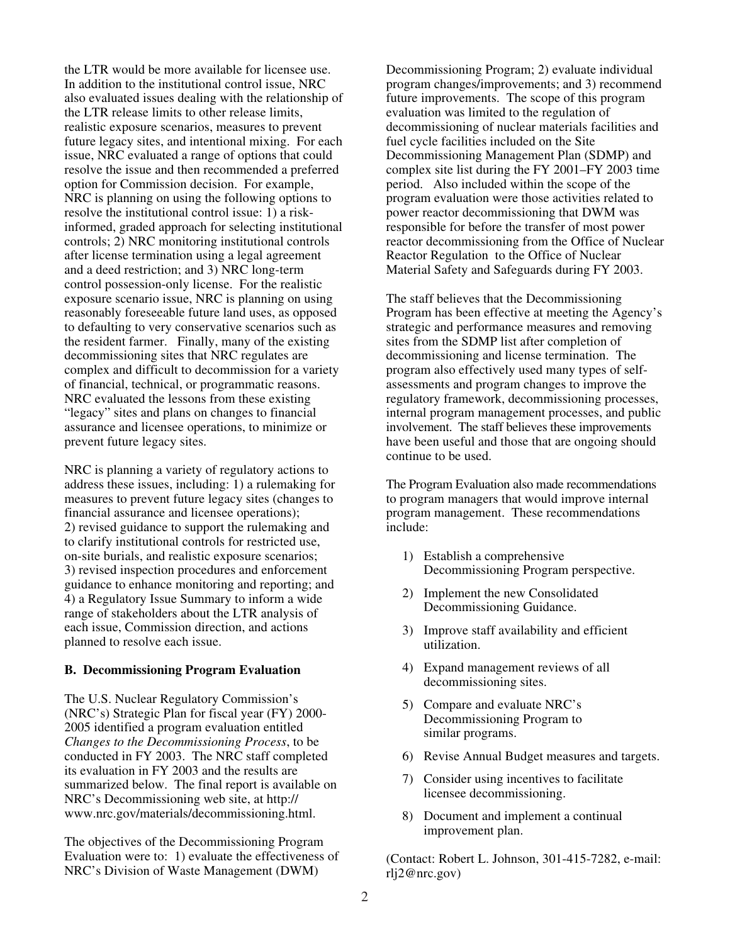the LTR would be more available for licensee use. In addition to the institutional control issue, NRC also evaluated issues dealing with the relationship of the LTR release limits to other release limits, realistic exposure scenarios, measures to prevent future legacy sites, and intentional mixing. For each issue, NRC evaluated a range of options that could resolve the issue and then recommended a preferred option for Commission decision. For example, NRC is planning on using the following options to resolve the institutional control issue: 1) a riskinformed, graded approach for selecting institutional controls; 2) NRC monitoring institutional controls after license termination using a legal agreement and a deed restriction; and 3) NRC long-term control possession-only license. For the realistic exposure scenario issue, NRC is planning on using reasonably foreseeable future land uses, as opposed to defaulting to very conservative scenarios such as the resident farmer. Finally, many of the existing decommissioning sites that NRC regulates are complex and difficult to decommission for a variety of financial, technical, or programmatic reasons. NRC evaluated the lessons from these existing "legacy" sites and plans on changes to financial assurance and licensee operations, to minimize or prevent future legacy sites.

NRC is planning a variety of regulatory actions to address these issues, including: 1) a rulemaking for measures to prevent future legacy sites (changes to financial assurance and licensee operations); 2) revised guidance to support the rulemaking and to clarify institutional controls for restricted use, on-site burials, and realistic exposure scenarios; 3) revised inspection procedures and enforcement guidance to enhance monitoring and reporting; and 4) a Regulatory Issue Summary to inform a wide range of stakeholders about the LTR analysis of each issue, Commission direction, and actions planned to resolve each issue.

#### **B. Decommissioning Program Evaluation**

The U.S. Nuclear Regulatory Commission's (NRC's) Strategic Plan for fiscal year (FY) 2000- 2005 identified a program evaluation entitled *Changes to the Decommissioning Process*, to be conducted in FY 2003. The NRC staff completed its evaluation in FY 2003 and the results are summarized below. The final report is available on NRC's Decommissioning web site, at http:// www.nrc.gov/materials/decommissioning.html.

The objectives of the Decommissioning Program Evaluation were to: 1) evaluate the effectiveness of NRC's Division of Waste Management (DWM)

Decommissioning Program; 2) evaluate individual program changes/improvements; and 3) recommend future improvements. The scope of this program evaluation was limited to the regulation of decommissioning of nuclear materials facilities and fuel cycle facilities included on the Site Decommissioning Management Plan (SDMP) and complex site list during the FY 2001–FY 2003 time period. Also included within the scope of the program evaluation were those activities related to power reactor decommissioning that DWM was responsible for before the transfer of most power reactor decommissioning from the Office of Nuclear Reactor Regulation to the Office of Nuclear Material Safety and Safeguards during FY 2003.

The staff believes that the Decommissioning Program has been effective at meeting the Agency's strategic and performance measures and removing sites from the SDMP list after completion of decommissioning and license termination. The program also effectively used many types of selfassessments and program changes to improve the regulatory framework, decommissioning processes, internal program management processes, and public involvement. The staff believes these improvements have been useful and those that are ongoing should continue to be used.

The Program Evaluation also made recommendations to program managers that would improve internal program management. These recommendations include:

- 1) Establish a comprehensive Decommissioning Program perspective.
- 2) Implement the new Consolidated Decommissioning Guidance.
- 3) Improve staff availability and efficient utilization.
- 4) Expand management reviews of all decommissioning sites.
- 5) Compare and evaluate NRC's Decommissioning Program to similar programs.
- 6) Revise Annual Budget measures and targets.
- 7) Consider using incentives to facilitate licensee decommissioning.
- 8) Document and implement a continual improvement plan.

(Contact: Robert L. Johnson, 301-415-7282, e-mail: rlj2@nrc.gov)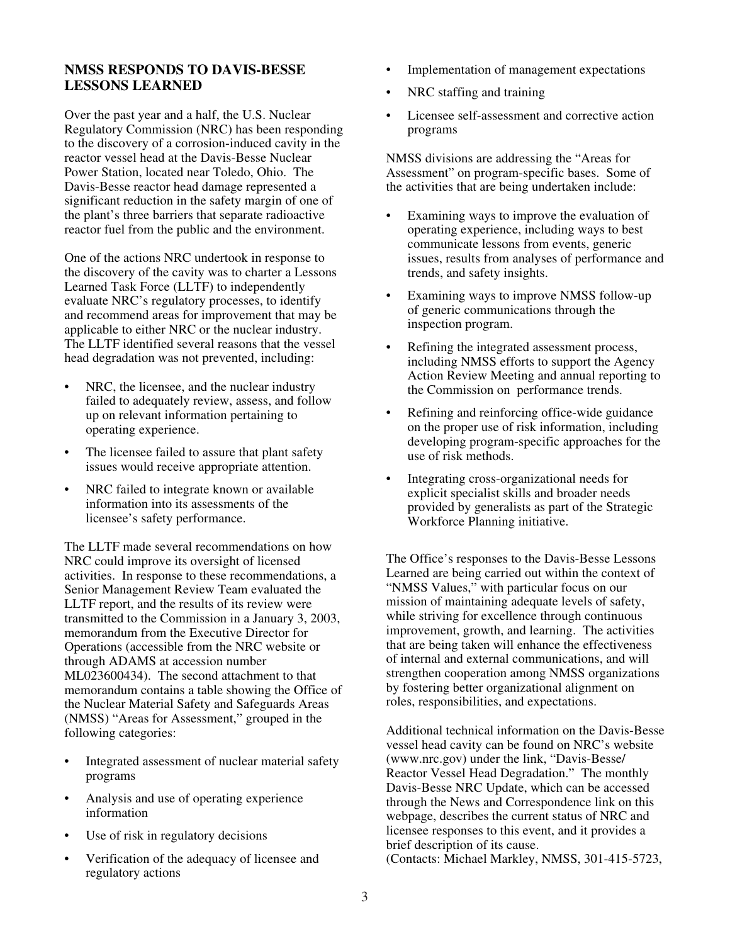# **NMSS RESPONDS TO DAVIS-BESSE LESSONS LEARNED**

Over the past year and a half, the U.S. Nuclear Regulatory Commission (NRC) has been responding to the discovery of a corrosion-induced cavity in the reactor vessel head at the Davis-Besse Nuclear Power Station, located near Toledo, Ohio. The Davis-Besse reactor head damage represented a significant reduction in the safety margin of one of the plant's three barriers that separate radioactive reactor fuel from the public and the environment.

One of the actions NRC undertook in response to the discovery of the cavity was to charter a Lessons Learned Task Force (LLTF) to independently evaluate NRC's regulatory processes, to identify and recommend areas for improvement that may be applicable to either NRC or the nuclear industry. The LLTF identified several reasons that the vessel head degradation was not prevented, including:

- NRC, the licensee, and the nuclear industry failed to adequately review, assess, and follow up on relevant information pertaining to operating experience.
- The licensee failed to assure that plant safety issues would receive appropriate attention.
- NRC failed to integrate known or available information into its assessments of the licensee's safety performance.

The LLTF made several recommendations on how NRC could improve its oversight of licensed activities. In response to these recommendations, a Senior Management Review Team evaluated the LLTF report, and the results of its review were transmitted to the Commission in a January 3, 2003, memorandum from the Executive Director for Operations (accessible from the NRC website or through ADAMS at accession number ML023600434). The second attachment to that memorandum contains a table showing the Office of the Nuclear Material Safety and Safeguards Areas (NMSS) "Areas for Assessment," grouped in the following categories:

- Integrated assessment of nuclear material safety programs
- Analysis and use of operating experience information
- Use of risk in regulatory decisions
- Verification of the adequacy of licensee and regulatory actions
- Implementation of management expectations
- NRC staffing and training
- Licensee self-assessment and corrective action programs

NMSS divisions are addressing the "Areas for Assessment" on program-specific bases. Some of the activities that are being undertaken include:

- Examining ways to improve the evaluation of operating experience, including ways to best communicate lessons from events, generic issues, results from analyses of performance and trends, and safety insights.
- Examining ways to improve NMSS follow-up of generic communications through the inspection program.
- Refining the integrated assessment process, including NMSS efforts to support the Agency Action Review Meeting and annual reporting to the Commission on performance trends.
- Refining and reinforcing office-wide guidance on the proper use of risk information, including developing program-specific approaches for the use of risk methods.
- Integrating cross-organizational needs for explicit specialist skills and broader needs provided by generalists as part of the Strategic Workforce Planning initiative.

The Office's responses to the Davis-Besse Lessons Learned are being carried out within the context of "NMSS Values," with particular focus on our mission of maintaining adequate levels of safety, while striving for excellence through continuous improvement, growth, and learning. The activities that are being taken will enhance the effectiveness of internal and external communications, and will strengthen cooperation among NMSS organizations by fostering better organizational alignment on roles, responsibilities, and expectations.

Additional technical information on the Davis-Besse vessel head cavity can be found on NRC's website (www.nrc.gov) under the link, "Davis-Besse/ Reactor Vessel Head Degradation." The monthly Davis-Besse NRC Update, which can be accessed through the News and Correspondence link on this webpage, describes the current status of NRC and licensee responses to this event, and it provides a brief description of its cause. (Contacts: Michael Markley, NMSS, 301-415-5723,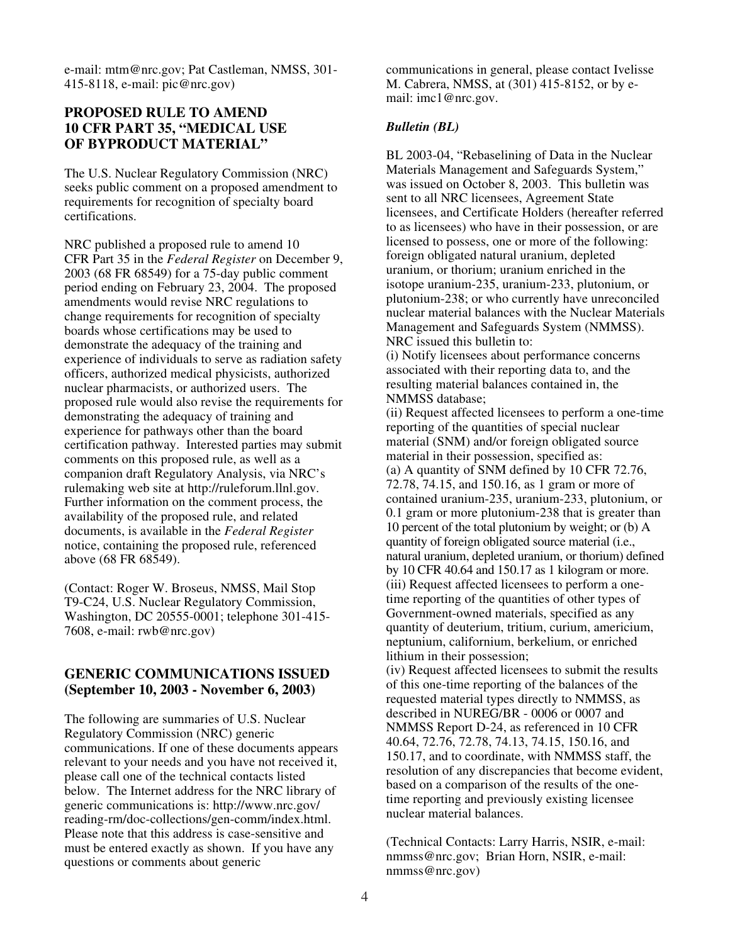e-mail: mtm@nrc.gov; Pat Castleman, NMSS, 301- 415-8118, e-mail: pic@nrc.gov)

# **PROPOSED RULE TO AMEND 10 CFR PART 35, "MEDICAL USE OF BYPRODUCT MATERIAL"**

The U.S. Nuclear Regulatory Commission (NRC) seeks public comment on a proposed amendment to requirements for recognition of specialty board certifications.

NRC published a proposed rule to amend 10 CFR Part 35 in the *Federal Register* on December 9, 2003 (68 FR 68549) for a 75-day public comment period ending on February 23, 2004. The proposed amendments would revise NRC regulations to change requirements for recognition of specialty boards whose certifications may be used to demonstrate the adequacy of the training and experience of individuals to serve as radiation safety officers, authorized medical physicists, authorized nuclear pharmacists, or authorized users. The proposed rule would also revise the requirements for demonstrating the adequacy of training and experience for pathways other than the board certification pathway. Interested parties may submit comments on this proposed rule, as well as a companion draft Regulatory Analysis, via NRC's rulemaking web site at http://ruleforum.llnl.gov. Further information on the comment process, the availability of the proposed rule, and related documents, is available in the *Federal Register* notice, containing the proposed rule, referenced above (68 FR 68549).

(Contact: Roger W. Broseus, NMSS, Mail Stop T9-C24, U.S. Nuclear Regulatory Commission, Washington, DC 20555-0001; telephone 301-415- 7608, e-mail: rwb@nrc.gov)

## **GENERIC COMMUNICATIONS ISSUED (September 10, 2003 - November 6, 2003)**

The following are summaries of U.S. Nuclear Regulatory Commission (NRC) generic communications. If one of these documents appears relevant to your needs and you have not received it, please call one of the technical contacts listed below. The Internet address for the NRC library of generic communications is: http://www.nrc.gov/ reading-rm/doc-collections/gen-comm/index.html. Please note that this address is case-sensitive and must be entered exactly as shown. If you have any questions or comments about generic

communications in general, please contact Ivelisse M. Cabrera, NMSS, at (301) 415-8152, or by email: imc1@nrc.gov.

### *Bulletin (BL)*

BL 2003-04, "Rebaselining of Data in the Nuclear Materials Management and Safeguards System," was issued on October 8, 2003. This bulletin was sent to all NRC licensees, Agreement State licensees, and Certificate Holders (hereafter referred to as licensees) who have in their possession, or are licensed to possess, one or more of the following: foreign obligated natural uranium, depleted uranium, or thorium; uranium enriched in the isotope uranium-235, uranium-233, plutonium, or plutonium-238; or who currently have unreconciled nuclear material balances with the Nuclear Materials Management and Safeguards System (NMMSS). NRC issued this bulletin to:

(i) Notify licensees about performance concerns associated with their reporting data to, and the resulting material balances contained in, the NMMSS database;

(ii) Request affected licensees to perform a one-time reporting of the quantities of special nuclear material (SNM) and/or foreign obligated source material in their possession, specified as: (a) A quantity of SNM defined by 10 CFR 72.76, 72.78, 74.15, and 150.16, as 1 gram or more of contained uranium-235, uranium-233, plutonium, or 0.1 gram or more plutonium-238 that is greater than 10 percent of the total plutonium by weight; or (b) A quantity of foreign obligated source material (i.e., natural uranium, depleted uranium, or thorium) defined by 10 CFR 40.64 and 150.17 as 1 kilogram or more. (iii) Request affected licensees to perform a onetime reporting of the quantities of other types of Government-owned materials, specified as any quantity of deuterium, tritium, curium, americium, neptunium, californium, berkelium, or enriched lithium in their possession;

(iv) Request affected licensees to submit the results of this one-time reporting of the balances of the requested material types directly to NMMSS, as described in NUREG/BR - 0006 or 0007 and NMMSS Report D-24, as referenced in 10 CFR 40.64, 72.76, 72.78, 74.13, 74.15, 150.16, and 150.17, and to coordinate, with NMMSS staff, the resolution of any discrepancies that become evident, based on a comparison of the results of the onetime reporting and previously existing licensee nuclear material balances.

(Technical Contacts: Larry Harris, NSIR, e-mail: nmmss@nrc.gov; Brian Horn, NSIR, e-mail: nmmss@nrc.gov)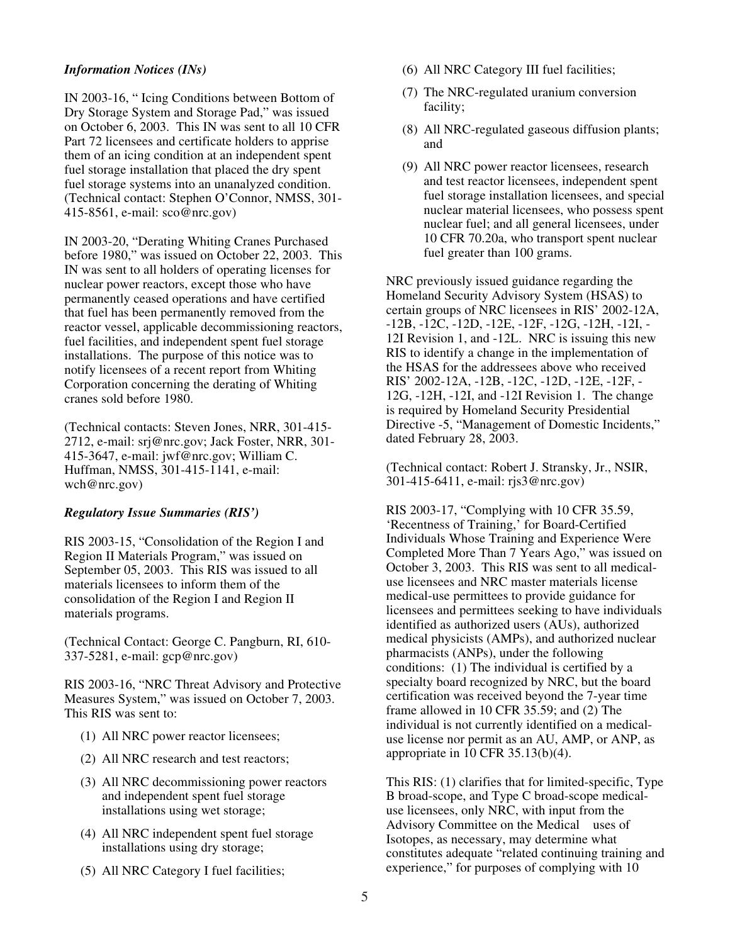### *Information Notices (INs)*

IN 2003-16, " Icing Conditions between Bottom of Dry Storage System and Storage Pad," was issued on October 6, 2003. This IN was sent to all 10 CFR Part 72 licensees and certificate holders to apprise them of an icing condition at an independent spent fuel storage installation that placed the dry spent fuel storage systems into an unanalyzed condition. (Technical contact: Stephen O'Connor, NMSS, 301- 415-8561, e-mail: sco@nrc.gov)

IN 2003-20, "Derating Whiting Cranes Purchased before 1980," was issued on October 22, 2003. This IN was sent to all holders of operating licenses for nuclear power reactors, except those who have permanently ceased operations and have certified that fuel has been permanently removed from the reactor vessel, applicable decommissioning reactors, fuel facilities, and independent spent fuel storage installations. The purpose of this notice was to notify licensees of a recent report from Whiting Corporation concerning the derating of Whiting cranes sold before 1980.

(Technical contacts: Steven Jones, NRR, 301-415- 2712, e-mail: srj@nrc.gov; Jack Foster, NRR, 301- 415-3647, e-mail: jwf@nrc.gov; William C. Huffman, NMSS, 301-415-1141, e-mail: wch@nrc.gov)

## *Regulatory Issue Summaries (RIS')*

RIS 2003-15, "Consolidation of the Region I and Region II Materials Program," was issued on September 05, 2003. This RIS was issued to all materials licensees to inform them of the consolidation of the Region I and Region II materials programs.

(Technical Contact: George C. Pangburn, RI, 610- 337-5281, e-mail: gcp@nrc.gov)

RIS 2003-16, "NRC Threat Advisory and Protective Measures System," was issued on October 7, 2003. This RIS was sent to:

- (1) All NRC power reactor licensees;
- (2) All NRC research and test reactors;
- (3) All NRC decommissioning power reactors and independent spent fuel storage installations using wet storage;
- (4) All NRC independent spent fuel storage installations using dry storage;
- (5) All NRC Category I fuel facilities;
- (6) All NRC Category III fuel facilities;
- (7) The NRC-regulated uranium conversion facility;
- (8) All NRC-regulated gaseous diffusion plants; and
- (9) All NRC power reactor licensees, research and test reactor licensees, independent spent fuel storage installation licensees, and special nuclear material licensees, who possess spent nuclear fuel; and all general licensees, under 10 CFR 70.20a, who transport spent nuclear fuel greater than 100 grams.

NRC previously issued guidance regarding the Homeland Security Advisory System (HSAS) to certain groups of NRC licensees in RIS' 2002-12A, -12B, -12C, -12D, -12E, -12F, -12G, -12H, -12I, - 12I Revision 1, and -12L. NRC is issuing this new RIS to identify a change in the implementation of the HSAS for the addressees above who received RIS' 2002-12A, -12B, -12C, -12D, -12E, -12F, - 12G, -12H, -12I, and -12I Revision 1. The change is required by Homeland Security Presidential Directive -5, "Management of Domestic Incidents," dated February 28, 2003.

(Technical contact: Robert J. Stransky, Jr., NSIR, 301-415-6411, e-mail: rjs3@nrc.gov)

RIS 2003-17, "Complying with 10 CFR 35.59, 'Recentness of Training,' for Board-Certified Individuals Whose Training and Experience Were Completed More Than 7 Years Ago," was issued on October 3, 2003. This RIS was sent to all medicaluse licensees and NRC master materials license medical-use permittees to provide guidance for licensees and permittees seeking to have individuals identified as authorized users (AUs), authorized medical physicists (AMPs), and authorized nuclear pharmacists (ANPs), under the following conditions: (1) The individual is certified by a specialty board recognized by NRC, but the board certification was received beyond the 7-year time frame allowed in 10 CFR 35.59; and (2) The individual is not currently identified on a medicaluse license nor permit as an AU, AMP, or ANP, as appropriate in 10 CFR 35.13(b)(4).

This RIS: (1) clarifies that for limited-specific, Type B broad-scope, and Type C broad-scope medicaluse licensees, only NRC, with input from the Advisory Committee on the Medical uses of Isotopes, as necessary, may determine what constitutes adequate "related continuing training and experience," for purposes of complying with 10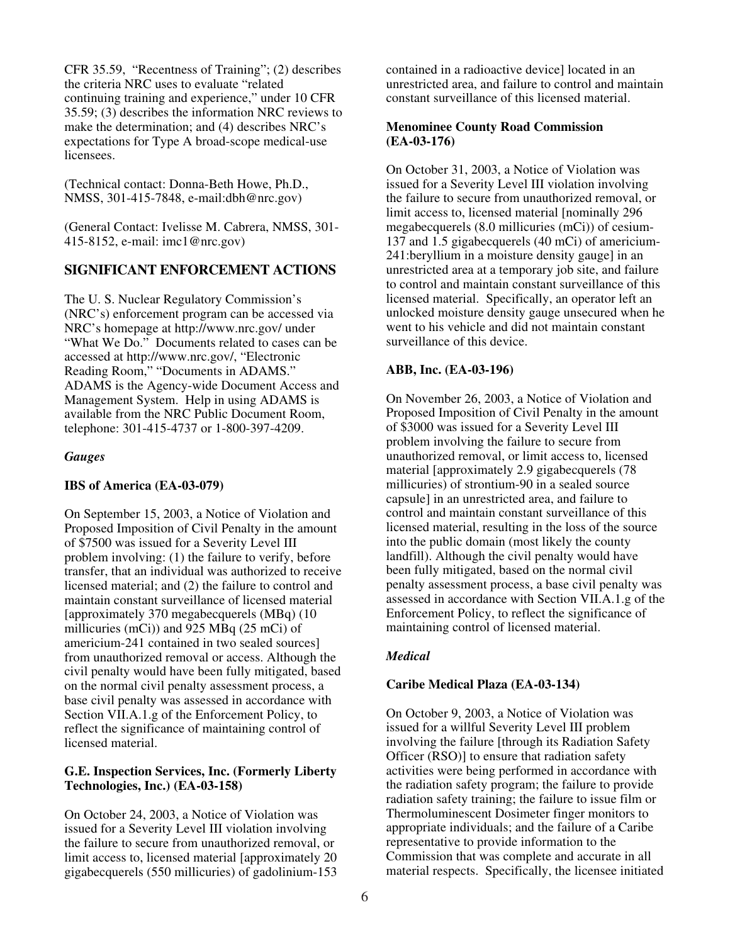CFR 35.59, "Recentness of Training"; (2) describes the criteria NRC uses to evaluate "related continuing training and experience," under 10 CFR 35.59; (3) describes the information NRC reviews to make the determination; and (4) describes NRC's expectations for Type A broad-scope medical-use licensees.

(Technical contact: Donna-Beth Howe, Ph.D., NMSS, 301-415-7848, e-mail:dbh@nrc.gov)

(General Contact: Ivelisse M. Cabrera, NMSS, 301- 415-8152, e-mail: imc1@nrc.gov)

# **SIGNIFICANT ENFORCEMENT ACTIONS**

The U. S. Nuclear Regulatory Commission's (NRC's) enforcement program can be accessed via NRC's homepage at http://www.nrc.gov/ under "What We Do." Documents related to cases can be accessed at http://www.nrc.gov/, "Electronic Reading Room," "Documents in ADAMS." ADAMS is the Agency-wide Document Access and Management System. Help in using ADAMS is available from the NRC Public Document Room, telephone: 301-415-4737 or 1-800-397-4209.

### *Gauges*

#### **IBS of America (EA-03-079)**

On September 15, 2003, a Notice of Violation and Proposed Imposition of Civil Penalty in the amount of \$7500 was issued for a Severity Level III problem involving: (1) the failure to verify, before transfer, that an individual was authorized to receive licensed material; and (2) the failure to control and maintain constant surveillance of licensed material [approximately 370 megabecquerels (MBq) (10 millicuries (mCi)) and 925 MBq (25 mCi) of americium-241 contained in two sealed sources] from unauthorized removal or access. Although the civil penalty would have been fully mitigated, based on the normal civil penalty assessment process, a base civil penalty was assessed in accordance with Section VII.A.1.g of the Enforcement Policy, to reflect the significance of maintaining control of licensed material.

### **G.E. Inspection Services, Inc. (Formerly Liberty Technologies, Inc.) (EA-03-158)**

On October 24, 2003, a Notice of Violation was issued for a Severity Level III violation involving the failure to secure from unauthorized removal, or limit access to, licensed material [approximately 20 gigabecquerels (550 millicuries) of gadolinium-153

contained in a radioactive device] located in an unrestricted area, and failure to control and maintain constant surveillance of this licensed material.

#### **Menominee County Road Commission (EA-03-176)**

On October 31, 2003, a Notice of Violation was issued for a Severity Level III violation involving the failure to secure from unauthorized removal, or limit access to, licensed material [nominally 296 megabecquerels (8.0 millicuries (mCi)) of cesium-137 and 1.5 gigabecquerels (40 mCi) of americium-241:beryllium in a moisture density gauge] in an unrestricted area at a temporary job site, and failure to control and maintain constant surveillance of this licensed material. Specifically, an operator left an unlocked moisture density gauge unsecured when he went to his vehicle and did not maintain constant surveillance of this device.

### **ABB, Inc. (EA-03-196)**

On November 26, 2003, a Notice of Violation and Proposed Imposition of Civil Penalty in the amount of \$3000 was issued for a Severity Level III problem involving the failure to secure from unauthorized removal, or limit access to, licensed material [approximately 2.9 gigabecquerels (78 millicuries) of strontium-90 in a sealed source capsule] in an unrestricted area, and failure to control and maintain constant surveillance of this licensed material, resulting in the loss of the source into the public domain (most likely the county landfill). Although the civil penalty would have been fully mitigated, based on the normal civil penalty assessment process, a base civil penalty was assessed in accordance with Section VII.A.1.g of the Enforcement Policy, to reflect the significance of maintaining control of licensed material.

## *Medical*

## **Caribe Medical Plaza (EA-03-134)**

On October 9, 2003, a Notice of Violation was issued for a willful Severity Level III problem involving the failure [through its Radiation Safety Officer (RSO)] to ensure that radiation safety activities were being performed in accordance with the radiation safety program; the failure to provide radiation safety training; the failure to issue film or Thermoluminescent Dosimeter finger monitors to appropriate individuals; and the failure of a Caribe representative to provide information to the Commission that was complete and accurate in all material respects. Specifically, the licensee initiated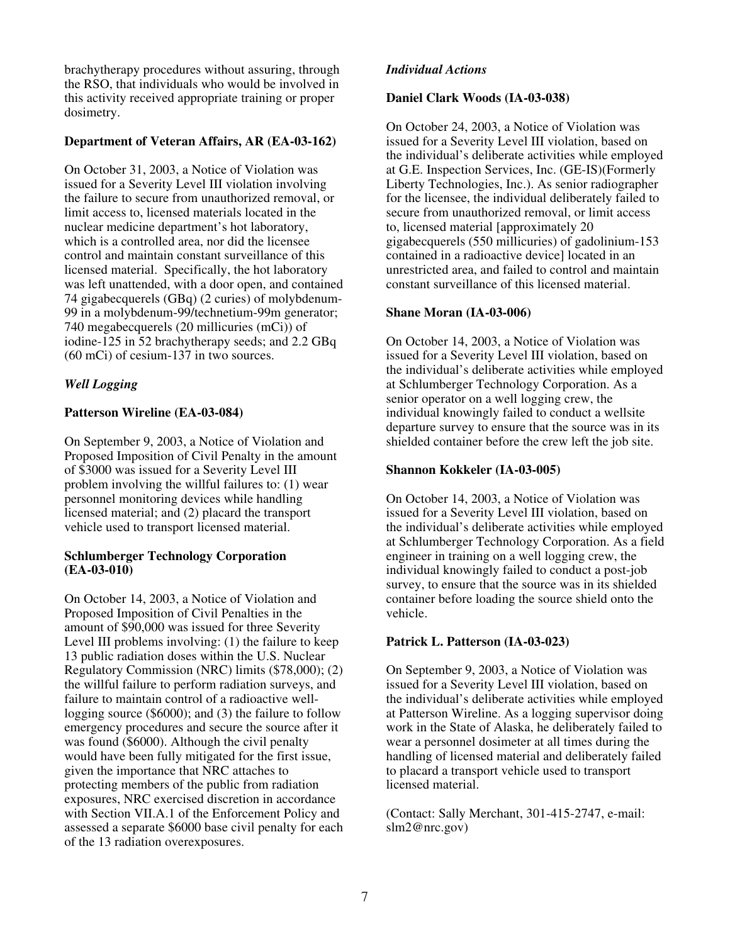brachytherapy procedures without assuring, through the RSO, that individuals who would be involved in this activity received appropriate training or proper dosimetry.

# **Department of Veteran Affairs, AR (EA-03-162)**

On October 31, 2003, a Notice of Violation was issued for a Severity Level III violation involving the failure to secure from unauthorized removal, or limit access to, licensed materials located in the nuclear medicine department's hot laboratory, which is a controlled area, nor did the licensee control and maintain constant surveillance of this licensed material. Specifically, the hot laboratory was left unattended, with a door open, and contained 74 gigabecquerels (GBq) (2 curies) of molybdenum-99 in a molybdenum-99/technetium-99m generator; 740 megabecquerels (20 millicuries (mCi)) of iodine-125 in 52 brachytherapy seeds; and 2.2 GBq (60 mCi) of cesium-137 in two sources.

# *Well Logging*

# **Patterson Wireline (EA-03-084)**

On September 9, 2003, a Notice of Violation and Proposed Imposition of Civil Penalty in the amount of \$3000 was issued for a Severity Level III problem involving the willful failures to: (1) wear personnel monitoring devices while handling licensed material; and (2) placard the transport vehicle used to transport licensed material.

### **Schlumberger Technology Corporation (EA-03-010)**

On October 14, 2003, a Notice of Violation and Proposed Imposition of Civil Penalties in the amount of \$90,000 was issued for three Severity Level III problems involving: (1) the failure to keep 13 public radiation doses within the U.S. Nuclear Regulatory Commission (NRC) limits (\$78,000); (2) the willful failure to perform radiation surveys, and failure to maintain control of a radioactive welllogging source (\$6000); and (3) the failure to follow emergency procedures and secure the source after it was found (\$6000). Although the civil penalty would have been fully mitigated for the first issue, given the importance that NRC attaches to protecting members of the public from radiation exposures, NRC exercised discretion in accordance with Section VII.A.1 of the Enforcement Policy and assessed a separate \$6000 base civil penalty for each of the 13 radiation overexposures.

# *Individual Actions*

## **Daniel Clark Woods (IA-03-038)**

On October 24, 2003, a Notice of Violation was issued for a Severity Level III violation, based on the individual's deliberate activities while employed at G.E. Inspection Services, Inc. (GE-IS)(Formerly Liberty Technologies, Inc.). As senior radiographer for the licensee, the individual deliberately failed to secure from unauthorized removal, or limit access to, licensed material [approximately 20 gigabecquerels (550 millicuries) of gadolinium-153 contained in a radioactive device] located in an unrestricted area, and failed to control and maintain constant surveillance of this licensed material.

## **Shane Moran (IA-03-006)**

On October 14, 2003, a Notice of Violation was issued for a Severity Level III violation, based on the individual's deliberate activities while employed at Schlumberger Technology Corporation. As a senior operator on a well logging crew, the individual knowingly failed to conduct a wellsite departure survey to ensure that the source was in its shielded container before the crew left the job site.

## **Shannon Kokkeler (IA-03-005)**

On October 14, 2003, a Notice of Violation was issued for a Severity Level III violation, based on the individual's deliberate activities while employed at Schlumberger Technology Corporation. As a field engineer in training on a well logging crew, the individual knowingly failed to conduct a post-job survey, to ensure that the source was in its shielded container before loading the source shield onto the vehicle.

## **Patrick L. Patterson (IA-03-023)**

On September 9, 2003, a Notice of Violation was issued for a Severity Level III violation, based on the individual's deliberate activities while employed at Patterson Wireline. As a logging supervisor doing work in the State of Alaska, he deliberately failed to wear a personnel dosimeter at all times during the handling of licensed material and deliberately failed to placard a transport vehicle used to transport licensed material.

(Contact: Sally Merchant, 301-415-2747, e-mail: slm2@nrc.gov)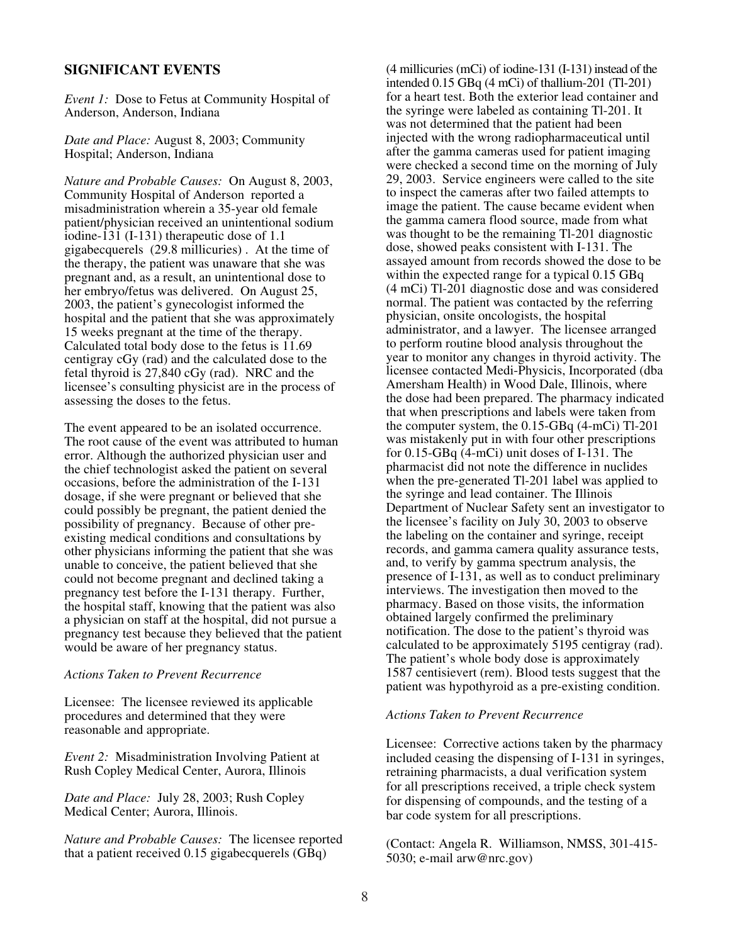## **SIGNIFICANT EVENTS**

*Event 1:* Dose to Fetus at Community Hospital of Anderson, Anderson, Indiana

*Date and Place:* August 8, 2003; Community Hospital; Anderson, Indiana

*Nature and Probable Causes:* On August 8, 2003, Community Hospital of Anderson reported a misadministration wherein a 35-year old female patient/physician received an unintentional sodium iodine-131 (I-131) therapeutic dose of 1.1 gigabecquerels (29.8 millicuries) . At the time of the therapy, the patient was unaware that she was pregnant and, as a result, an unintentional dose to her embryo/fetus was delivered. On August 25, 2003, the patient's gynecologist informed the hospital and the patient that she was approximately 15 weeks pregnant at the time of the therapy. Calculated total body dose to the fetus is 11.69 centigray cGy (rad) and the calculated dose to the fetal thyroid is 27,840 cGy (rad). NRC and the licensee's consulting physicist are in the process of assessing the doses to the fetus.

The event appeared to be an isolated occurrence. The root cause of the event was attributed to human error. Although the authorized physician user and the chief technologist asked the patient on several occasions, before the administration of the I-131 dosage, if she were pregnant or believed that she could possibly be pregnant, the patient denied the possibility of pregnancy. Because of other preexisting medical conditions and consultations by other physicians informing the patient that she was unable to conceive, the patient believed that she could not become pregnant and declined taking a pregnancy test before the I-131 therapy. Further, the hospital staff, knowing that the patient was also a physician on staff at the hospital, did not pursue a pregnancy test because they believed that the patient would be aware of her pregnancy status.

## *Actions Taken to Prevent Recurrence*

Licensee: The licensee reviewed its applicable procedures and determined that they were reasonable and appropriate.

*Event 2:* Misadministration Involving Patient at Rush Copley Medical Center, Aurora, Illinois

*Date and Place:* July 28, 2003; Rush Copley Medical Center; Aurora, Illinois.

*Nature and Probable Causes:* The licensee reported that a patient received 0.15 gigabecquerels (GBq)

(4 millicuries (mCi) of iodine-131 (I-131) instead of the intended  $0.15$  GBq  $(4 \text{ mCi})$  of thallium-201 (Tl-201) for a heart test. Both the exterior lead container and the syringe were labeled as containing Tl-201. It was not determined that the patient had been injected with the wrong radiopharmaceutical until after the gamma cameras used for patient imaging were checked a second time on the morning of July 29, 2003. Service engineers were called to the site to inspect the cameras after two failed attempts to image the patient. The cause became evident when the gamma camera flood source, made from what was thought to be the remaining Tl-201 diagnostic dose, showed peaks consistent with I-131. The assayed amount from records showed the dose to be within the expected range for a typical 0.15 GBq (4 mCi) Tl-201 diagnostic dose and was considered normal. The patient was contacted by the referring physician, onsite oncologists, the hospital administrator, and a lawyer. The licensee arranged to perform routine blood analysis throughout the year to monitor any changes in thyroid activity. The licensee contacted Medi-Physicis, Incorporated (dba Amersham Health) in Wood Dale, Illinois, where the dose had been prepared. The pharmacy indicated that when prescriptions and labels were taken from the computer system, the 0.15-GBq (4-mCi) Tl-201 was mistakenly put in with four other prescriptions for 0.15-GBq (4-mCi) unit doses of I-131. The pharmacist did not note the difference in nuclides when the pre-generated Tl-201 label was applied to the syringe and lead container. The Illinois Department of Nuclear Safety sent an investigator to the licensee's facility on July 30, 2003 to observe the labeling on the container and syringe, receipt records, and gamma camera quality assurance tests, and, to verify by gamma spectrum analysis, the presence of I-131, as well as to conduct preliminary interviews. The investigation then moved to the pharmacy. Based on those visits, the information obtained largely confirmed the preliminary notification. The dose to the patient's thyroid was calculated to be approximately 5195 centigray (rad). The patient's whole body dose is approximately 1587 centisievert (rem). Blood tests suggest that the patient was hypothyroid as a pre-existing condition.

#### *Actions Taken to Prevent Recurrence*

Licensee: Corrective actions taken by the pharmacy included ceasing the dispensing of I-131 in syringes, retraining pharmacists, a dual verification system for all prescriptions received, a triple check system for dispensing of compounds, and the testing of a bar code system for all prescriptions.

(Contact: Angela R. Williamson, NMSS, 301-415- 5030; e-mail arw@nrc.gov)